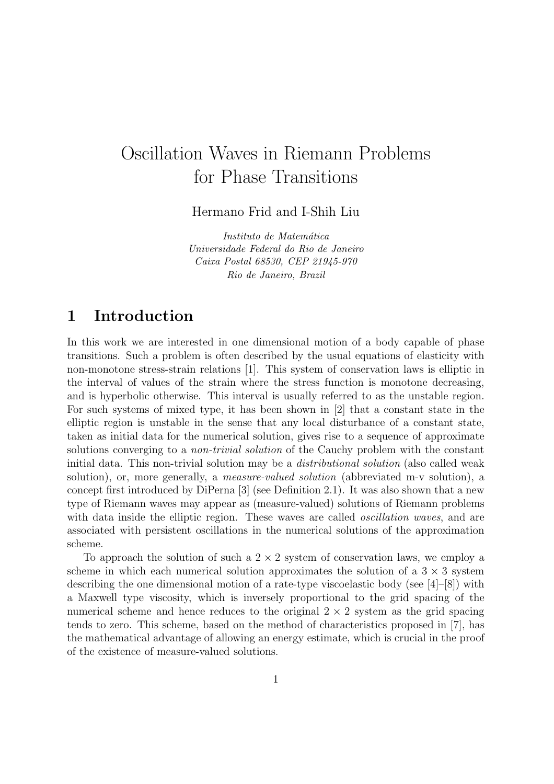# Oscillation Waves in Riemann Problems for Phase Transitions

Hermano Frid and I-Shih Liu

Instituto de Matemática Universidade Federal do Rio de Janeiro Caixa Postal 68530, CEP 21945-970 Rio de Janeiro, Brazil

# 1 Introduction

In this work we are interested in one dimensional motion of a body capable of phase transitions. Such a problem is often described by the usual equations of elasticity with non-monotone stress-strain relations [1]. This system of conservation laws is elliptic in the interval of values of the strain where the stress function is monotone decreasing, and is hyperbolic otherwise. This interval is usually referred to as the unstable region. For such systems of mixed type, it has been shown in [2] that a constant state in the elliptic region is unstable in the sense that any local disturbance of a constant state, taken as initial data for the numerical solution, gives rise to a sequence of approximate solutions converging to a *non-trivial solution* of the Cauchy problem with the constant initial data. This non-trivial solution may be a distributional solution (also called weak solution), or, more generally, a measure-valued solution (abbreviated m-v solution), a concept first introduced by DiPerna [3] (see Definition 2.1). It was also shown that a new type of Riemann waves may appear as (measure-valued) solutions of Riemann problems with data inside the elliptic region. These waves are called *oscillation waves*, and are associated with persistent oscillations in the numerical solutions of the approximation scheme.

To approach the solution of such a  $2 \times 2$  system of conservation laws, we employ a scheme in which each numerical solution approximates the solution of a  $3 \times 3$  system describing the one dimensional motion of a rate-type viscoelastic body (see [4]–[8]) with a Maxwell type viscosity, which is inversely proportional to the grid spacing of the numerical scheme and hence reduces to the original  $2 \times 2$  system as the grid spacing tends to zero. This scheme, based on the method of characteristics proposed in [7], has the mathematical advantage of allowing an energy estimate, which is crucial in the proof of the existence of measure-valued solutions.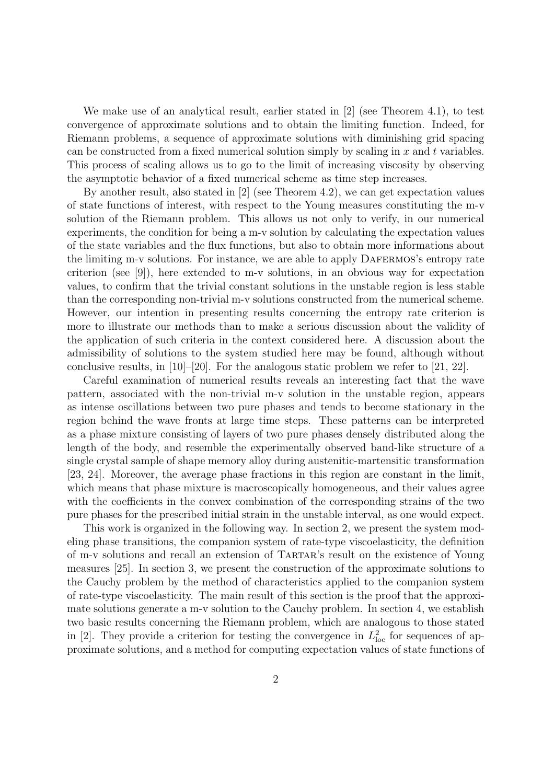We make use of an analytical result, earlier stated in [2] (see Theorem 4.1), to test convergence of approximate solutions and to obtain the limiting function. Indeed, for Riemann problems, a sequence of approximate solutions with diminishing grid spacing can be constructed from a fixed numerical solution simply by scaling in  $x$  and  $t$  variables. This process of scaling allows us to go to the limit of increasing viscosity by observing the asymptotic behavior of a fixed numerical scheme as time step increases.

By another result, also stated in [2] (see Theorem 4.2), we can get expectation values of state functions of interest, with respect to the Young measures constituting the m-v solution of the Riemann problem. This allows us not only to verify, in our numerical experiments, the condition for being a m-v solution by calculating the expectation values of the state variables and the flux functions, but also to obtain more informations about the limiting m-v solutions. For instance, we are able to apply DAFERMOS's entropy rate criterion (see [9]), here extended to m-v solutions, in an obvious way for expectation values, to confirm that the trivial constant solutions in the unstable region is less stable than the corresponding non-trivial m-v solutions constructed from the numerical scheme. However, our intention in presenting results concerning the entropy rate criterion is more to illustrate our methods than to make a serious discussion about the validity of the application of such criteria in the context considered here. A discussion about the admissibility of solutions to the system studied here may be found, although without conclusive results, in  $[10]-[20]$ . For the analogous static problem we refer to  $[21, 22]$ .

Careful examination of numerical results reveals an interesting fact that the wave pattern, associated with the non-trivial m-v solution in the unstable region, appears as intense oscillations between two pure phases and tends to become stationary in the region behind the wave fronts at large time steps. These patterns can be interpreted as a phase mixture consisting of layers of two pure phases densely distributed along the length of the body, and resemble the experimentally observed band-like structure of a single crystal sample of shape memory alloy during austenitic-martensitic transformation [23, 24]. Moreover, the average phase fractions in this region are constant in the limit, which means that phase mixture is macroscopically homogeneous, and their values agree with the coefficients in the convex combination of the corresponding strains of the two pure phases for the prescribed initial strain in the unstable interval, as one would expect.

This work is organized in the following way. In section 2, we present the system modeling phase transitions, the companion system of rate-type viscoelasticity, the definition of m-v solutions and recall an extension of Tartar's result on the existence of Young measures [25]. In section 3, we present the construction of the approximate solutions to the Cauchy problem by the method of characteristics applied to the companion system of rate-type viscoelasticity. The main result of this section is the proof that the approximate solutions generate a m-v solution to the Cauchy problem. In section 4, we establish two basic results concerning the Riemann problem, which are analogous to those stated in [2]. They provide a criterion for testing the convergence in  $L<sub>loc</sub><sup>2</sup>$  for sequences of approximate solutions, and a method for computing expectation values of state functions of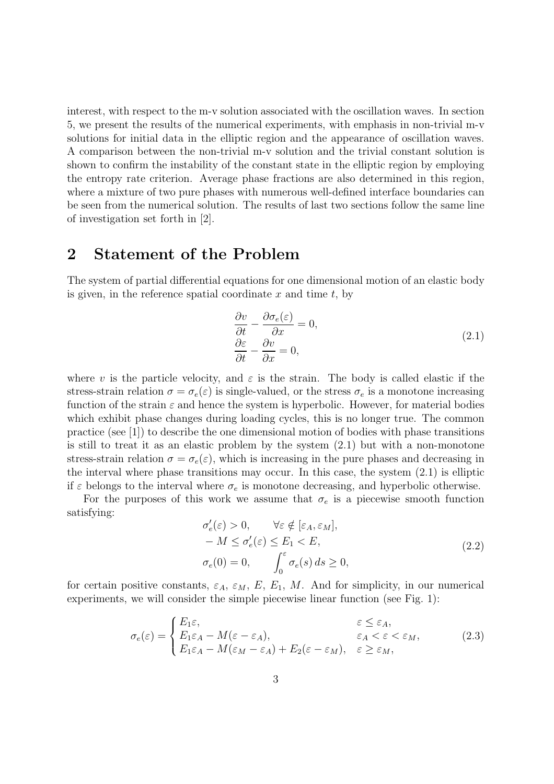interest, with respect to the m-v solution associated with the oscillation waves. In section 5, we present the results of the numerical experiments, with emphasis in non-trivial m-v solutions for initial data in the elliptic region and the appearance of oscillation waves. A comparison between the non-trivial m-v solution and the trivial constant solution is shown to confirm the instability of the constant state in the elliptic region by employing the entropy rate criterion. Average phase fractions are also determined in this region, where a mixture of two pure phases with numerous well-defined interface boundaries can be seen from the numerical solution. The results of last two sections follow the same line of investigation set forth in [2].

### 2 Statement of the Problem

The system of partial differential equations for one dimensional motion of an elastic body is given, in the reference spatial coordinate  $x$  and time  $t$ , by

$$
\frac{\partial v}{\partial t} - \frac{\partial \sigma_e(\varepsilon)}{\partial x} = 0, \n\frac{\partial \varepsilon}{\partial t} - \frac{\partial v}{\partial x} = 0,
$$
\n(2.1)

where v is the particle velocity, and  $\varepsilon$  is the strain. The body is called elastic if the stress-strain relation  $\sigma = \sigma_e(\varepsilon)$  is single-valued, or the stress  $\sigma_e$  is a monotone increasing function of the strain  $\varepsilon$  and hence the system is hyperbolic. However, for material bodies which exhibit phase changes during loading cycles, this is no longer true. The common practice (see [1]) to describe the one dimensional motion of bodies with phase transitions is still to treat it as an elastic problem by the system (2.1) but with a non-monotone stress-strain relation  $\sigma = \sigma_e(\varepsilon)$ , which is increasing in the pure phases and decreasing in the interval where phase transitions may occur. In this case, the system (2.1) is elliptic if  $\varepsilon$  belongs to the interval where  $\sigma_e$  is monotone decreasing, and hyperbolic otherwise.

For the purposes of this work we assume that  $\sigma_e$  is a piecewise smooth function satisfying:

$$
\sigma'_{e}(\varepsilon) > 0, \qquad \forall \varepsilon \notin [\varepsilon_{A}, \varepsilon_{M}],
$$
  
\n
$$
-M \leq \sigma'_{e}(\varepsilon) \leq E_{1} < E,
$$
  
\n
$$
\sigma_{e}(0) = 0, \qquad \int_{0}^{\varepsilon} \sigma_{e}(s) ds \geq 0,
$$
\n(2.2)

for certain positive constants,  $\varepsilon_A$ ,  $\varepsilon_M$ ,  $E$ ,  $E_1$ ,  $M$ . And for simplicity, in our numerical experiments, we will consider the simple piecewise linear function (see Fig. 1):

$$
\sigma_e(\varepsilon) = \begin{cases} E_1 \varepsilon, & \varepsilon \le \varepsilon_A, \\ E_1 \varepsilon_A - M(\varepsilon - \varepsilon_A), & \varepsilon_A < \varepsilon < \varepsilon_M, \\ E_1 \varepsilon_A - M(\varepsilon_M - \varepsilon_A) + E_2(\varepsilon - \varepsilon_M), & \varepsilon \ge \varepsilon_M, \end{cases}
$$
(2.3)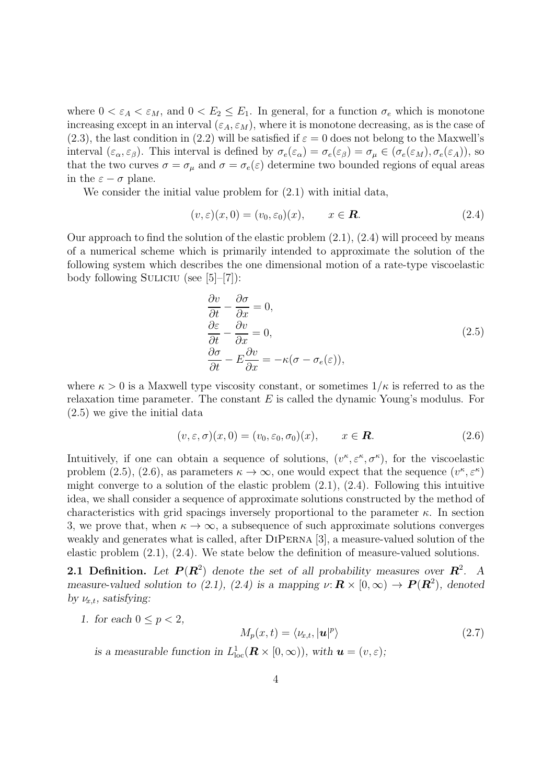where  $0 < \varepsilon_A < \varepsilon_M$ , and  $0 < E_2 \le E_1$ . In general, for a function  $\sigma_e$  which is monotone increasing except in an interval  $(\varepsilon_A, \varepsilon_M)$ , where it is monotone decreasing, as is the case of (2.3), the last condition in (2.2) will be satisfied if  $\varepsilon = 0$  does not belong to the Maxwell's interval  $(\varepsilon_{\alpha}, \varepsilon_{\beta})$ . This interval is defined by  $\sigma_e(\varepsilon_{\alpha}) = \sigma_e(\varepsilon_{\beta}) = \sigma_{\mu} \in (\sigma_e(\varepsilon_M), \sigma_e(\varepsilon_A))$ , so that the two curves  $\sigma = \sigma_{\mu}$  and  $\sigma = \sigma_e(\varepsilon)$  determine two bounded regions of equal areas in the  $\varepsilon - \sigma$  plane.

We consider the initial value problem for  $(2.1)$  with initial data,

$$
(v, \varepsilon)(x, 0) = (v_0, \varepsilon_0)(x), \qquad x \in \mathbb{R}.
$$
 (2.4)

Our approach to find the solution of the elastic problem (2.1), (2.4) will proceed by means of a numerical scheme which is primarily intended to approximate the solution of the following system which describes the one dimensional motion of a rate-type viscoelastic body following SULICIU (see  $[5]-[7]$ ):

$$
\frac{\partial v}{\partial t} - \frac{\partial \sigma}{\partial x} = 0,\n\frac{\partial \varepsilon}{\partial t} - \frac{\partial v}{\partial x} = 0,\n\frac{\partial \sigma}{\partial t} - E \frac{\partial v}{\partial x} = -\kappa (\sigma - \sigma_e(\varepsilon)),
$$
\n(2.5)

where  $\kappa > 0$  is a Maxwell type viscosity constant, or sometimes  $1/\kappa$  is referred to as the relaxation time parameter. The constant  $E$  is called the dynamic Young's modulus. For (2.5) we give the initial data

$$
(v, \varepsilon, \sigma)(x, 0) = (v_0, \varepsilon_0, \sigma_0)(x), \qquad x \in \mathbb{R}.
$$
 (2.6)

Intuitively, if one can obtain a sequence of solutions,  $(v^{\kappa}, \varepsilon^{\kappa}, \sigma^{\kappa})$ , for the viscoelastic problem (2.5), (2.6), as parameters  $\kappa \to \infty$ , one would expect that the sequence  $(v^{\kappa}, \varepsilon^{\kappa})$ might converge to a solution of the elastic problem  $(2.1)$ ,  $(2.4)$ . Following this intuitive idea, we shall consider a sequence of approximate solutions constructed by the method of characteristics with grid spacings inversely proportional to the parameter  $\kappa$ . In section 3, we prove that, when  $\kappa \to \infty$ , a subsequence of such approximate solutions converges weakly and generates what is called, after DiPerna [3], a measure-valued solution of the elastic problem (2.1), (2.4). We state below the definition of measure-valued solutions.

**2.1 Definition.** Let  $P(R^2)$  denote the set of all probability measures over  $R^2$ . A *measure-valued solution to (2.1), (2.4) is a mapping*  $\nu \colon \mathbf{R} \times [0, \infty) \to \mathbf{P}(\mathbf{R}^2)$ , denoted *by*  $\nu_{x,t}$ *, satisfying:* 

*1. for each*  $0 \leq p < 2$ ,

$$
M_p(x,t) = \langle \nu_{x,t}, |\mathbf{u}|^p \rangle \tag{2.7}
$$

is a measurable function in  $L^1_{loc}(\mathbf{R} \times [0, \infty))$ , with  $\mathbf{u} = (v, \varepsilon)$ ;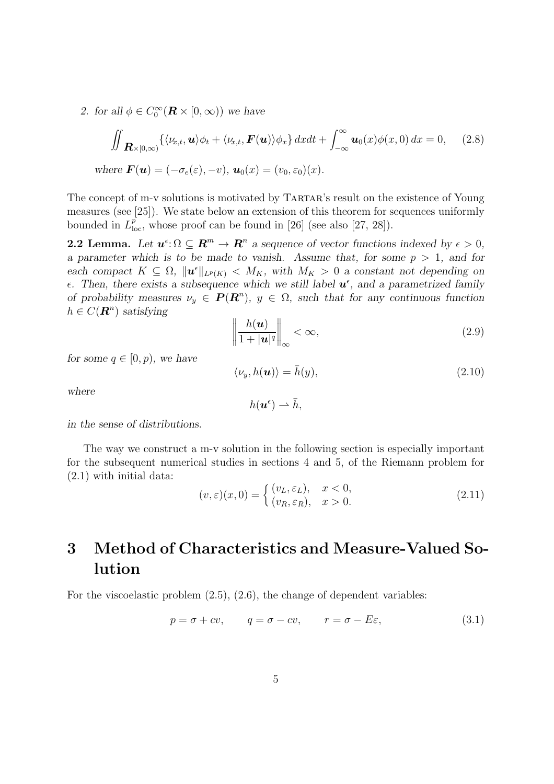2. for all  $\phi \in C_0^{\infty}$  $\int_0^\infty (\boldsymbol{R} \times [0,\infty))$  we have

$$
\iint_{\mathbf{R}\times[0,\infty)}\left\{\langle\nu_{x,t},\mathbf{u}\rangle\phi_t+\langle\nu_{x,t},\mathbf{F}(\mathbf{u})\rangle\phi_x\right\}dxdt+\int_{-\infty}^{\infty}\mathbf{u}_0(x)\phi(x,0)\,dx=0,\quad(2.8)
$$
\nwhere  $\mathbf{F}(\mathbf{u})=(-\sigma_e(\varepsilon),-\nu),\mathbf{u}_0(x)=(v_0,\varepsilon_0)(x).$ 

The concept of m-v solutions is motivated by TARTAR's result on the existence of Young measures (see [25]). We state below an extension of this theorem for sequences uniformly bounded in  $L^p_{loc}$ , whose proof can be found in [26] (see also [27, 28]).

**2.2 Lemma.** Let  $u^{\epsilon} \colon \Omega \subseteq \mathbb{R}^m \to \mathbb{R}^n$  a sequence of vector functions indexed by  $\epsilon > 0$ , *a parameter which is to be made to vanish. Assume that, for some*  $p > 1$ *, and for each compact*  $K \subseteq \Omega$ ,  $\|\boldsymbol{u}^{\epsilon}\|_{L^{p}(K)} < M_{K}$ , with  $M_{K} > 0$  *a constant not depending on*  $\epsilon$ . Then, there exists a subsequence which we still label  $\mathbf{u}^{\epsilon}$ , and a parametrized family *of probability measures*  $\nu_y \in P(R^n)$ ,  $y \in \Omega$ , such that for any continuous function  $h \in C(\mathbb{R}^n)$  satisfying

$$
\left\|\frac{h(\boldsymbol{u})}{1+|\boldsymbol{u}|^q}\right\|_{\infty}<\infty,\tag{2.9}
$$

*for some*  $q \in [0, p)$ *, we have* 

$$
\langle \nu_y, h(\mathbf{u}) \rangle = \bar{h}(y), \tag{2.10}
$$

*where*

$$
h(\boldsymbol{u}^{\epsilon}) \rightharpoonup \bar{h},
$$

*in the sense of distributions.*

The way we construct a m-v solution in the following section is especially important for the subsequent numerical studies in sections 4 and 5, of the Riemann problem for (2.1) with initial data:

$$
(v, \varepsilon)(x, 0) = \begin{cases} (v_L, \varepsilon_L), & x < 0, \\ (v_R, \varepsilon_R), & x > 0. \end{cases}
$$
 (2.11)

# 3 Method of Characteristics and Measure-Valued Solution

For the viscoelastic problem  $(2.5)$ ,  $(2.6)$ , the change of dependent variables:

$$
p = \sigma + cv, \qquad q = \sigma - cv, \qquad r = \sigma - E\varepsilon,
$$
\n(3.1)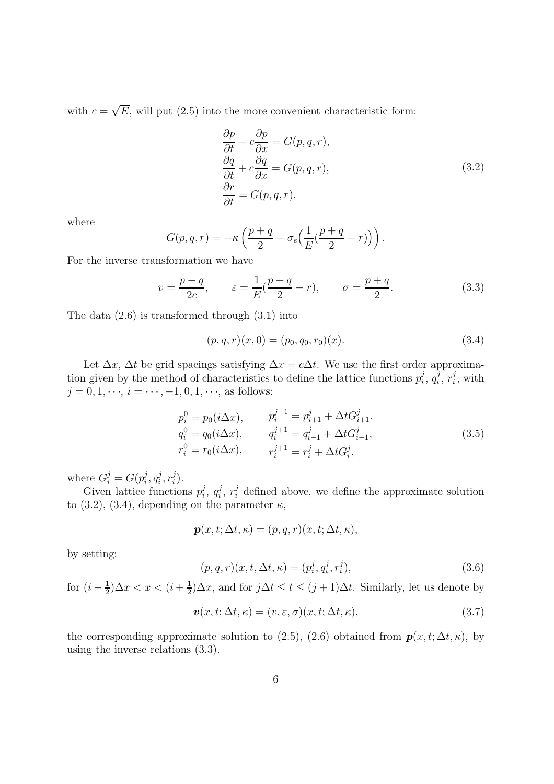with  $c = \sqrt{E}$ , will put (2.5) into the more convenient characteristic form:

$$
\frac{\partial p}{\partial t} - c \frac{\partial p}{\partial x} = G(p, q, r),\n\frac{\partial q}{\partial t} + c \frac{\partial q}{\partial x} = G(p, q, r),\n\frac{\partial r}{\partial t} = G(p, q, r),
$$
\n(3.2)

where

$$
G(p,q,r) = -\kappa \left( \frac{p+q}{2} - \sigma_e \left( \frac{1}{E} (\frac{p+q}{2} - r) \right) \right).
$$

For the inverse transformation we have

$$
v = \frac{p-q}{2c}, \qquad \varepsilon = \frac{1}{E}(\frac{p+q}{2} - r), \qquad \sigma = \frac{p+q}{2}.
$$
 (3.3)

The data (2.6) is transformed through (3.1) into

$$
(p, q, r)(x, 0) = (p_0, q_0, r_0)(x).
$$
\n(3.4)

Let  $\Delta x$ ,  $\Delta t$  be grid spacings satisfying  $\Delta x = c \Delta t$ . We use the first order approximation given by the method of characteristics to define the lattice functions  $p_i^j$  $\frac{j}{i}, q_i^j$  $\frac{j}{i}, r_i^j$  $i^j$ , with  $j = 0, 1, \dots, i = \dots, -1, 0, 1, \dots$ , as follows:

$$
p_i^0 = p_0(i\Delta x), \t p_i^{j+1} = p_{i+1}^j + \Delta t G_{i+1}^j,
$$
  
\n
$$
q_i^0 = q_0(i\Delta x), \t q_i^{j+1} = q_{i-1}^j + \Delta t G_{i-1}^j,
$$
  
\n
$$
r_i^0 = r_0(i\Delta x), \t r_i^{j+1} = r_i^j + \Delta t G_i^j,
$$
\n(3.5)

where  $G_i^j = G(p_i^j)$  $_i^j,q_i^j$  $i^j, r_i^j$  $\binom{j}{i}$ .

Given lattice functions  $p_i^j$  $i, q_i^j$  $i, r_i^j$  defined above, we define the approximate solution to (3.2), (3.4), depending on the parameter  $\kappa$ ,

$$
\boldsymbol{p}(x,t;\Delta t,\kappa)=(p,q,r)(x,t;\Delta t,\kappa),
$$

by setting:

$$
(p, q, r)(x, t, \Delta t, \kappa) = (p_i^j, q_i^j, r_i^j),
$$
\n(3.6)

for  $(i-\frac{1}{2})$  $(\frac{1}{2})\Delta x < x < (i + \frac{1}{2})$  $\frac{1}{2}$ ) $\Delta x$ , and for  $j\Delta t \leq t \leq (j+1)\Delta t$ . Similarly, let us denote by

$$
\mathbf{v}(x,t;\Delta t,\kappa) = (v,\varepsilon,\sigma)(x,t;\Delta t,\kappa),\tag{3.7}
$$

the corresponding approximate solution to (2.5), (2.6) obtained from  $p(x, t; \Delta t, \kappa)$ , by using the inverse relations (3.3).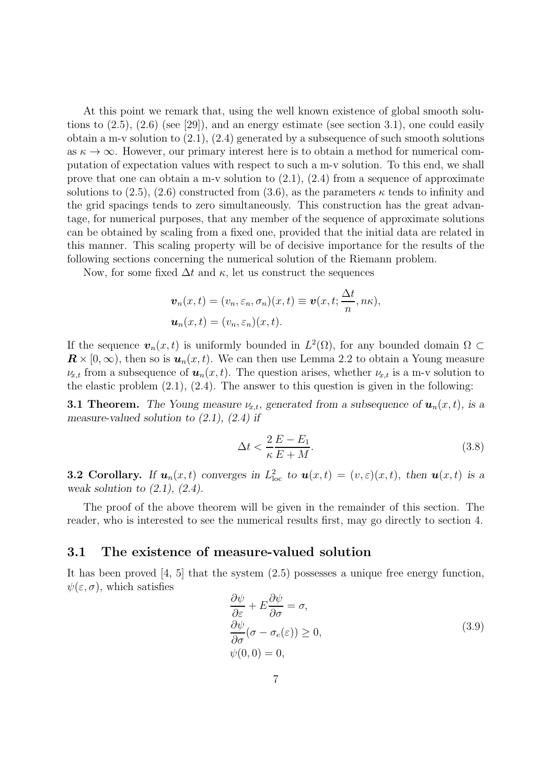At this point we remark that, using the well known existence of global smooth solutions to  $(2.5)$ ,  $(2.6)$  (see [29]), and an energy estimate (see section 3.1), one could easily obtain a m-v solution to  $(2.1)$ ,  $(2.4)$  generated by a subsequence of such smooth solutions as  $\kappa \to \infty$ . However, our primary interest here is to obtain a method for numerical computation of expectation values with respect to such a m-v solution. To this end, we shall prove that one can obtain a m-v solution to  $(2.1)$ ,  $(2.4)$  from a sequence of approximate solutions to  $(2.5)$ ,  $(2.6)$  constructed from  $(3.6)$ , as the parameters  $\kappa$  tends to infinity and the grid spacings tends to zero simultaneously. This construction has the great advantage, for numerical purposes, that any member of the sequence of approximate solutions can be obtained by scaling from a fixed one, provided that the initial data are related in this manner. This scaling property will be of decisive importance for the results of the following sections concerning the numerical solution of the Riemann problem.

Now, for some fixed  $\Delta t$  and  $\kappa$ , let us construct the sequences

$$
\boldsymbol{v}_n(x,t) = (v_n, \varepsilon_n, \sigma_n)(x,t) \equiv \boldsymbol{v}(x,t; \frac{\Delta t}{n}, n\kappa),
$$
  

$$
\boldsymbol{u}_n(x,t) = (v_n, \varepsilon_n)(x,t).
$$

If the sequence  $\mathbf{v}_n(x,t)$  is uniformly bounded in  $L^2(\Omega)$ , for any bounded domain  $\Omega \subset$  $\mathbf{R} \times [0,\infty)$ , then so is  $\mathbf{u}_n(x,t)$ . We can then use Lemma 2.2 to obtain a Young measure  $\nu_{x,t}$  from a subsequence of  $u_n(x,t)$ . The question arises, whether  $\nu_{x,t}$  is a m-v solution to the elastic problem  $(2.1)$ ,  $(2.4)$ . The answer to this question is given in the following:

**3.1 Theorem.** The Young measure  $\nu_{x,t}$ , generated from a subsequence of  $\mathbf{u}_n(x,t)$ , is a *measure-valued solution to (2.1), (2.4) if*

$$
\Delta t < \frac{2}{\kappa} \frac{E - E_1}{E + M}.\tag{3.8}
$$

**3.2 Corollary.** If  $u_n(x,t)$  converges in  $L^2_{loc}$  to  $u(x,t) = (v,\varepsilon)(x,t)$ , then  $u(x,t)$  is a *weak solution to (2.1), (2.4).*

The proof of the above theorem will be given in the remainder of this section. The reader, who is interested to see the numerical results first, may go directly to section 4.

#### 3.1 The existence of measure-valued solution

It has been proved [4, 5] that the system (2.5) possesses a unique free energy function,  $\psi(\varepsilon,\sigma)$ , which satisfies

$$
\frac{\partial \psi}{\partial \varepsilon} + E \frac{\partial \psi}{\partial \sigma} = \sigma,
$$
  
\n
$$
\frac{\partial \psi}{\partial \sigma} (\sigma - \sigma_e(\varepsilon)) \ge 0,
$$
  
\n
$$
\psi(0, 0) = 0,
$$
\n(3.9)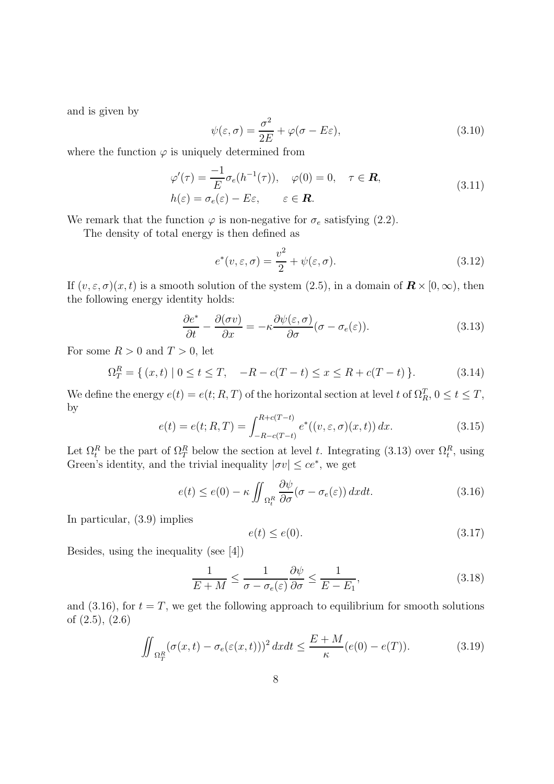and is given by

$$
\psi(\varepsilon,\sigma) = \frac{\sigma^2}{2E} + \varphi(\sigma - E\varepsilon),\tag{3.10}
$$

where the function  $\varphi$  is uniquely determined from

$$
\varphi'(\tau) = \frac{-1}{E} \sigma_e(h^{-1}(\tau)), \quad \varphi(0) = 0, \quad \tau \in \mathbb{R},
$$
  
\n
$$
h(\varepsilon) = \sigma_e(\varepsilon) - E\varepsilon, \qquad \varepsilon \in \mathbb{R}.
$$
\n(3.11)

We remark that the function  $\varphi$  is non-negative for  $\sigma_e$  satisfying (2.2).

The density of total energy is then defined as

$$
e^*(v, \varepsilon, \sigma) = \frac{v^2}{2} + \psi(\varepsilon, \sigma).
$$
\n(3.12)

If  $(v, \varepsilon, \sigma)(x, t)$  is a smooth solution of the system (2.5), in a domain of  $\mathbf{R} \times [0, \infty)$ , then the following energy identity holds:

$$
\frac{\partial e^*}{\partial t} - \frac{\partial (\sigma v)}{\partial x} = -\kappa \frac{\partial \psi(\varepsilon, \sigma)}{\partial \sigma} (\sigma - \sigma_e(\varepsilon)).
$$
\n(3.13)

For some  $R > 0$  and  $T > 0$ , let

$$
\Omega_T^R = \{ (x, t) \mid 0 \le t \le T, \quad -R - c(T - t) \le x \le R + c(T - t) \}. \tag{3.14}
$$

We define the energy  $e(t) = e(t; R, T)$  of the horizontal section at level t of  $\Omega_R^T$ ,  $0 \le t \le T$ , by

$$
e(t) = e(t; R, T) = \int_{-R-c(T-t)}^{R+c(T-t)} e^*((v, \varepsilon, \sigma)(x, t)) dx.
$$
 (3.15)

Let  $\Omega_t^R$  be the part of  $\Omega_T^R$  below the section at level t. Integrating (3.13) over  $\Omega_t^R$ , using Green's identity, and the trivial inequality  $|\sigma v| \leq ce^*$ , we get

$$
e(t) \le e(0) - \kappa \iint_{\Omega_t^R} \frac{\partial \psi}{\partial \sigma} (\sigma - \sigma_e(\varepsilon)) \, dx dt. \tag{3.16}
$$

In particular, (3.9) implies

$$
e(t) \le e(0). \tag{3.17}
$$

Besides, using the inequality (see [4])

$$
\frac{1}{E+M} \le \frac{1}{\sigma - \sigma_e(\varepsilon)} \frac{\partial \psi}{\partial \sigma} \le \frac{1}{E - E_1},\tag{3.18}
$$

and (3.16), for  $t = T$ , we get the following approach to equilibrium for smooth solutions of (2.5), (2.6)

$$
\iint_{\Omega_T^R} (\sigma(x,t) - \sigma_e(\varepsilon(x,t)))^2 dx dt \le \frac{E+M}{\kappa} (e(0) - e(T)).
$$
\n(3.19)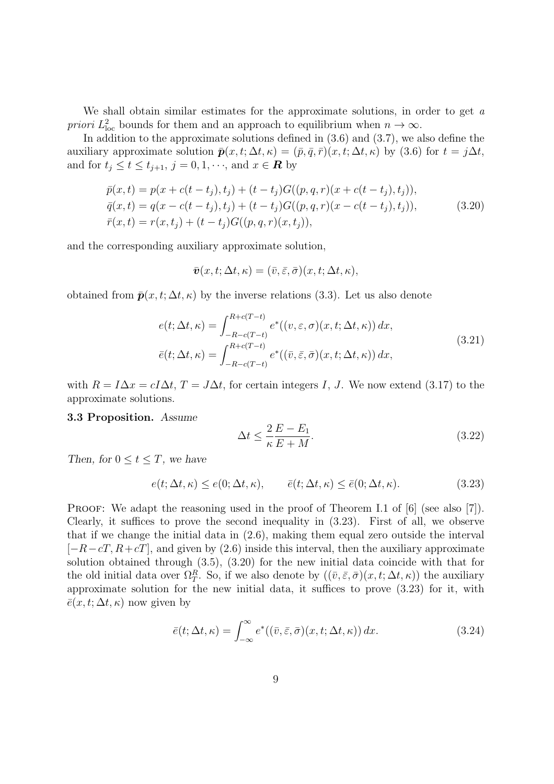We shall obtain similar estimates for the approximate solutions, in order to get  $a$ priori  $L^2_{loc}$  bounds for them and an approach to equilibrium when  $n \to \infty$ .

In addition to the approximate solutions defined in  $(3.6)$  and  $(3.7)$ , we also define the auxiliary approximate solution  $\bar{\mathbf{p}}(x, t; \Delta t, \kappa) = (\bar{p}, \bar{q}, \bar{r})(x, t; \Delta t, \kappa)$  by (3.6) for  $t = j\Delta t$ , and for  $t_j \le t \le t_{j+1}, j = 0, 1, \dots$ , and  $x \in \mathbb{R}$  by

$$
\bar{p}(x,t) = p(x + c(t - t_j), t_j) + (t - t_j)G((p, q, r)(x + c(t - t_j), t_j)),
$$
\n
$$
\bar{q}(x,t) = q(x - c(t - t_j), t_j) + (t - t_j)G((p, q, r)(x - c(t - t_j), t_j)),
$$
\n
$$
\bar{r}(x,t) = r(x,t_j) + (t - t_j)G((p, q, r)(x, t_j)),
$$
\n(3.20)

and the corresponding auxiliary approximate solution,

$$
\bar{\boldsymbol{v}}(x,t;\Delta t,\kappa)=(\bar{v},\bar{\varepsilon},\bar{\sigma})(x,t;\Delta t,\kappa),
$$

obtained from  $\bar{p}(x, t; \Delta t, \kappa)$  by the inverse relations (3.3). Let us also denote

$$
e(t; \Delta t, \kappa) = \int_{-R-c(T-t)}^{R+c(T-t)} e^*((v, \varepsilon, \sigma)(x, t; \Delta t, \kappa)) dx,
$$
  
\n
$$
\bar{e}(t; \Delta t, \kappa) = \int_{-R-c(T-t)}^{R+c(T-t)} e^*((\bar{v}, \bar{\varepsilon}, \bar{\sigma})(x, t; \Delta t, \kappa)) dx,
$$
\n(3.21)

with  $R = I\Delta x = cI\Delta t$ ,  $T = J\Delta t$ , for certain integers I, J. We now extend (3.17) to the approximate solutions.

#### 3.3 Proposition. *Assume*

$$
\Delta t \le \frac{2}{\kappa} \frac{E - E_1}{E + M}.\tag{3.22}
$$

*Then, for*  $0 \le t \le T$ *, we have* 

$$
e(t; \Delta t, \kappa) \le e(0; \Delta t, \kappa), \qquad \bar{e}(t; \Delta t, \kappa) \le \bar{e}(0; \Delta t, \kappa). \tag{3.23}
$$

PROOF: We adapt the reasoning used in the proof of Theorem I.1 of [6] (see also [7]). Clearly, it suffices to prove the second inequality in (3.23). First of all, we observe that if we change the initial data in (2.6), making them equal zero outside the interval  $[-R-cT, R+cT]$ , and given by (2.6) inside this interval, then the auxiliary approximate solution obtained through (3.5), (3.20) for the new initial data coincide with that for the old initial data over  $\Omega_T^R$ . So, if we also denote by  $((\bar{v}, \bar{\varepsilon}, \bar{\sigma})(x, t; \Delta t, \kappa))$  the auxiliary approximate solution for the new initial data, it suffices to prove (3.23) for it, with  $\bar{e}(x, t; \Delta t, \kappa)$  now given by

$$
\bar{e}(t; \Delta t, \kappa) = \int_{-\infty}^{\infty} e^* ((\bar{v}, \bar{\varepsilon}, \bar{\sigma})(x, t; \Delta t, \kappa)) dx.
$$
 (3.24)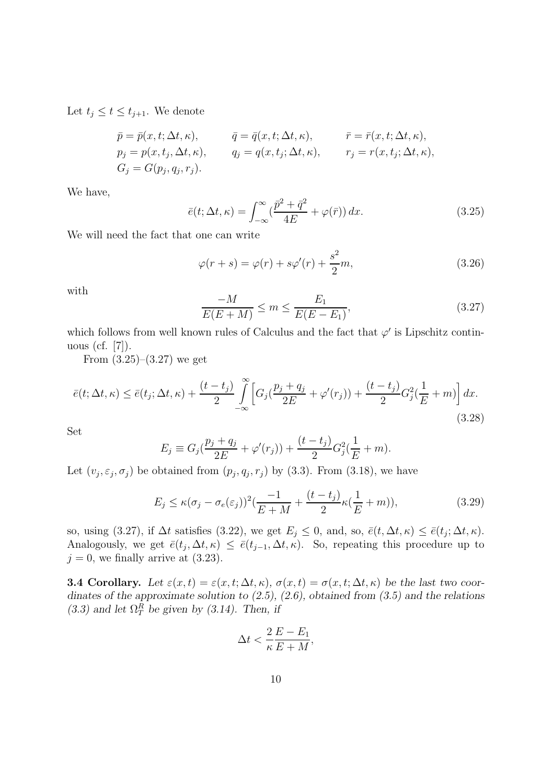Let  $t_j \leq t \leq t_{j+1}$ . We denote

$$
\bar{p} = \bar{p}(x, t; \Delta t, \kappa), \qquad \bar{q} = \bar{q}(x, t; \Delta t, \kappa), \qquad \bar{r} = \bar{r}(x, t; \Delta t, \kappa),
$$
  
\n
$$
p_j = p(x, t_j, \Delta t, \kappa), \qquad q_j = q(x, t_j; \Delta t, \kappa), \qquad r_j = r(x, t_j; \Delta t, \kappa),
$$
  
\n
$$
G_j = G(p_j, q_j, r_j).
$$

We have,

$$
\bar{e}(t; \Delta t, \kappa) = \int_{-\infty}^{\infty} \left(\frac{\bar{p}^2 + \bar{q}^2}{4E} + \varphi(\bar{r})\right) dx.
$$
 (3.25)

We will need the fact that one can write

$$
\varphi(r+s) = \varphi(r) + s\varphi'(r) + \frac{s^2}{2}m,\tag{3.26}
$$

with

$$
\frac{-M}{E(E+M)} \le m \le \frac{E_1}{E(E-E_1)},
$$
\n(3.27)

which follows from well known rules of Calculus and the fact that  $\varphi'$  is Lipschitz continuous (cf. [7]).

From  $(3.25)$ – $(3.27)$  we get

$$
\bar{e}(t; \Delta t, \kappa) \le \bar{e}(t_j; \Delta t, \kappa) + \frac{(t - t_j)}{2} \int_{-\infty}^{\infty} \left[ G_j(\frac{p_j + q_j}{2E} + \varphi'(r_j)) + \frac{(t - t_j)}{2} G_j^2(\frac{1}{E} + m) \right] dx.
$$
\n(3.28)

Set

$$
E_j \equiv G_j(\frac{p_j + q_j}{2E} + \varphi'(r_j)) + \frac{(t - t_j)}{2}G_j^2(\frac{1}{E} + m).
$$

Let  $(v_j, \varepsilon_j, \sigma_j)$  be obtained from  $(p_j, q_j, r_j)$  by (3.3). From (3.18), we have

$$
E_j \le \kappa(\sigma_j - \sigma_e(\varepsilon_j))^2 \left(\frac{-1}{E+M} + \frac{(t-t_j)}{2}\kappa(\frac{1}{E}+m)\right),\tag{3.29}
$$

so, using (3.27), if  $\Delta t$  satisfies (3.22), we get  $E_j \leq 0$ , and, so,  $\bar{e}(t, \Delta t, \kappa) \leq \bar{e}(t_j; \Delta t, \kappa)$ . Analogously, we get  $\bar{e}(t_j, \Delta t, \kappa) \leq \bar{e}(t_{j-1}, \Delta t, \kappa)$ . So, repeating this procedure up to  $j = 0$ , we finally arrive at  $(3.23)$ .

**3.4 Corollary.** Let  $\varepsilon(x,t) = \varepsilon(x,t;\Delta t,\kappa)$ ,  $\sigma(x,t) = \sigma(x,t;\Delta t,\kappa)$  be the last two coor*dinates of the approximate solution to (2.5), (2.6), obtained from (3.5) and the relations*  $(3.3)$  and let  $\Omega_T^R$  be given by  $(3.14)$ . Then, if

$$
\Delta t < \frac{2}{\kappa} \frac{E - E_1}{E + M},
$$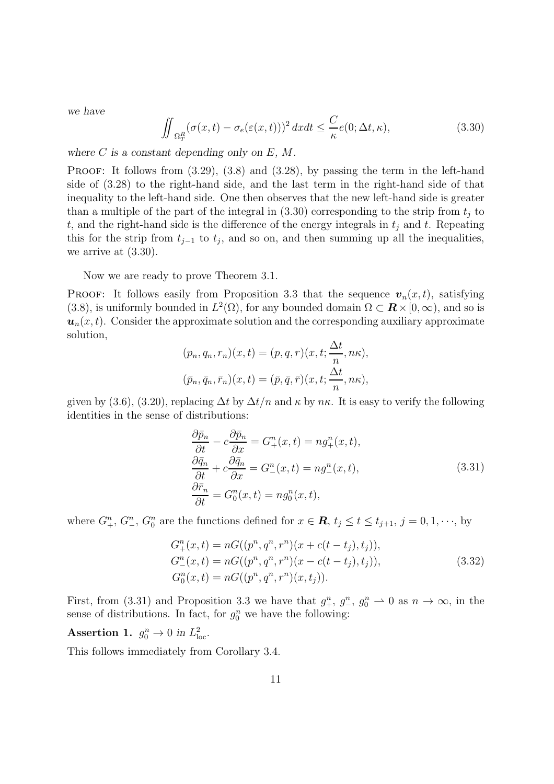*we have*

$$
\iint_{\Omega_T^R} (\sigma(x,t) - \sigma_e(\varepsilon(x,t)))^2 dx dt \leq \frac{C}{\kappa} e(0;\Delta t, \kappa),
$$
\n(3.30)

*where* C *is a constant depending only on* E*,* M*.*

PROOF: It follows from  $(3.29)$ ,  $(3.8)$  and  $(3.28)$ , by passing the term in the left-hand side of (3.28) to the right-hand side, and the last term in the right-hand side of that inequality to the left-hand side. One then observes that the new left-hand side is greater than a multiple of the part of the integral in  $(3.30)$  corresponding to the strip from  $t_j$  to t, and the right-hand side is the difference of the energy integrals in  $t_i$  and t. Repeating this for the strip from  $t_{j-1}$  to  $t_j$ , and so on, and then summing up all the inequalities, we arrive at (3.30).

Now we are ready to prove Theorem 3.1.

PROOF: It follows easily from Proposition 3.3 that the sequence  $\mathbf{v}_n(x,t)$ , satisfying (3.8), is uniformly bounded in  $L^2(\Omega)$ , for any bounded domain  $\Omega \subset \mathbf{R} \times [0, \infty)$ , and so is  $u_n(x, t)$ . Consider the approximate solution and the corresponding auxiliary approximate solution,

$$
(p_n, q_n, r_n)(x, t) = (p, q, r)(x, t; \frac{\Delta t}{n}, n\kappa),
$$
  

$$
(\bar{p}_n, \bar{q}_n, \bar{r}_n)(x, t) = (\bar{p}, \bar{q}, \bar{r})(x, t; \frac{\Delta t}{n}, n\kappa),
$$

given by (3.6), (3.20), replacing  $\Delta t$  by  $\Delta t/n$  and  $\kappa$  by  $n\kappa$ . It is easy to verify the following identities in the sense of distributions:

$$
\frac{\partial \bar{p}_n}{\partial t} - c \frac{\partial \bar{p}_n}{\partial x} = G_+^n(x, t) = n g_+^n(x, t),
$$
  
\n
$$
\frac{\partial \bar{q}_n}{\partial t} + c \frac{\partial \bar{q}_n}{\partial x} = G_-^n(x, t) = n g_-^n(x, t),
$$
  
\n
$$
\frac{\partial \bar{r}_n}{\partial t} = G_0^n(x, t) = n g_0^n(x, t),
$$
\n(3.31)

where  $G_{+}^{n}$ ,  $G_{-}^{n}$ ,  $G_{0}^{n}$  are the functions defined for  $x \in \mathbf{R}$ ,  $t_{j} \le t \le t_{j+1}$ ,  $j = 0, 1, \dots$ , by

$$
G_{+}^{n}(x,t) = nG((p^{n}, q^{n}, r^{n})(x + c(t - t_{j}), t_{j})),
$$
  
\n
$$
G_{-}^{n}(x,t) = nG((p^{n}, q^{n}, r^{n})(x - c(t - t_{j}), t_{j})),
$$
  
\n
$$
G_{0}^{n}(x,t) = nG((p^{n}, q^{n}, r^{n})(x, t_{j})).
$$
\n(3.32)

First, from (3.31) and Proposition 3.3 we have that  $g_{+}^n$ ,  $g_{-}^n$ ,  $g_0^n \to 0$  as  $n \to \infty$ , in the sense of distributions. In fact, for  $g_0^n$  we have the following:

Assertion 1.  $g_0^n \to 0$  in  $L^2_{loc}$ .

This follows immediately from Corollary 3.4.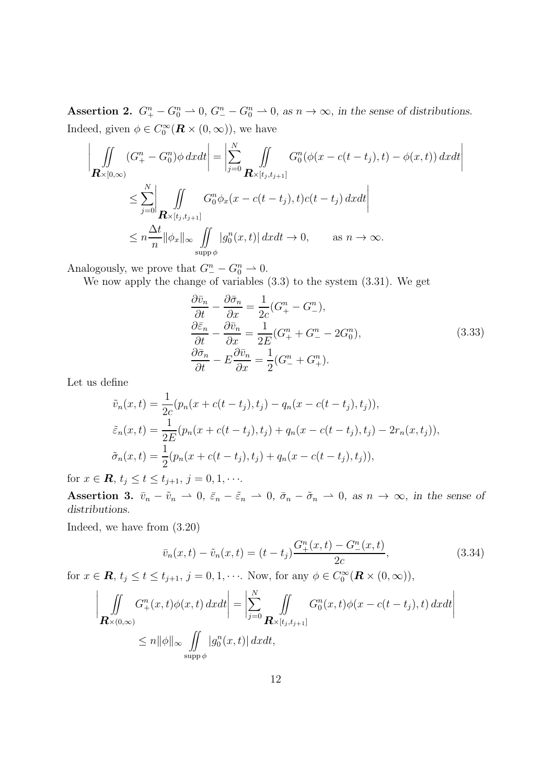Assertion 2.  $G_+^n - G_0^n \rightharpoonup 0$ ,  $G_-^n - G_0^n \rightharpoonup 0$ , as  $n \to \infty$ , in the sense of distributions. Indeed, given  $\phi \in C_0^{\infty}$  $\int_0^\infty (\mathbf{R} \times (0, \infty))$ , we have

$$
\left| \iint\limits_{\mathbf{R}\times[0,\infty)} (G_{+}^{n} - G_{0}^{n})\phi \, dxdt \right| = \left| \sum_{j=0}^{N} \iint\limits_{\mathbf{R}\times[t_{j},t_{j+1}]} G_{0}^{n}(\phi(x - c(t - t_{j}), t) - \phi(x, t)) \, dxdt \right|
$$
  

$$
\leq \sum_{j=0}^{N} \left| \iint\limits_{\mathbf{R}\times[t_{j},t_{j+1}]} G_{0}^{n} \phi_{x}(x - c(t - t_{j}), t)c(t - t_{j}) \, dxdt \right|
$$
  

$$
\leq n \frac{\Delta t}{n} \|\phi_{x}\|_{\infty} \iint\limits_{\text{supp}\phi} |g_{0}^{n}(x, t)| \, dxdt \to 0, \quad \text{as } n \to \infty.
$$

Analogously, we prove that  $G_{-}^{n} - G_{0}^{n} \rightharpoonup 0$ .

We now apply the change of variables (3.3) to the system (3.31). We get

$$
\frac{\partial \bar{v}_n}{\partial t} - \frac{\partial \bar{\sigma}_n}{\partial x} = \frac{1}{2c} (G_+^n - G_-^n),
$$
  
\n
$$
\frac{\partial \bar{\varepsilon}_n}{\partial t} - \frac{\partial \bar{v}_n}{\partial x} = \frac{1}{2E} (G_+^n + G_-^n - 2G_0^n),
$$
  
\n
$$
\frac{\partial \bar{\sigma}_n}{\partial t} - E \frac{\partial \bar{v}_n}{\partial x} = \frac{1}{2} (G_-^n + G_+^n).
$$
\n(3.33)

Let us define

$$
\tilde{v}_n(x,t) = \frac{1}{2c}(p_n(x + c(t - t_j), t_j) - q_n(x - c(t - t_j), t_j)),
$$
  
\n
$$
\tilde{\varepsilon}_n(x,t) = \frac{1}{2E}(p_n(x + c(t - t_j), t_j) + q_n(x - c(t - t_j), t_j) - 2r_n(x, t_j)),
$$
  
\n
$$
\tilde{\sigma}_n(x,t) = \frac{1}{2}(p_n(x + c(t - t_j), t_j) + q_n(x - c(t - t_j), t_j)),
$$

for  $x \in \mathbf{R}$ ,  $t_j \le t \le t_{j+1}, j = 0, 1, \cdots$ .

Assertion 3.  $\bar{v}_n - \tilde{v}_n \rightharpoonup 0$ ,  $\bar{\varepsilon}_n - \tilde{\varepsilon}_n \rightharpoonup 0$ ,  $\bar{\sigma}_n - \tilde{\sigma}_n \rightharpoonup 0$ , as  $n \to \infty$ , in the sense of *distributions.*

Indeed, we have from (3.20)

$$
\bar{v}_n(x,t) - \tilde{v}_n(x,t) = (t - t_j) \frac{G_+^n(x,t) - G_-^n(x,t)}{2c},\tag{3.34}
$$

for  $x \in \mathbf{R}$ ,  $t_j \le t \le t_{j+1}$ ,  $j = 0, 1, \dots$ . Now, for any  $\phi \in C_0^{\infty}$  $\int_0^\infty (\boldsymbol{R}\times (0,\infty)),$ 

$$
\left| \iint\limits_{\mathbf{R}\times(0,\infty)} G^n_+(x,t) \phi(x,t) dx dt \right| = \left| \sum\limits_{j=0}^N \iint\limits_{\mathbf{R}\times[t_j,t_{j+1}]} G^n_0(x,t) \phi(x-c(t-t_j),t) dx dt \right|
$$
  
\$\leq n \|\phi\|\_\infty \iint\limits\_{\text{supp }\phi} |g^n\_0(x,t)| dx dt\$,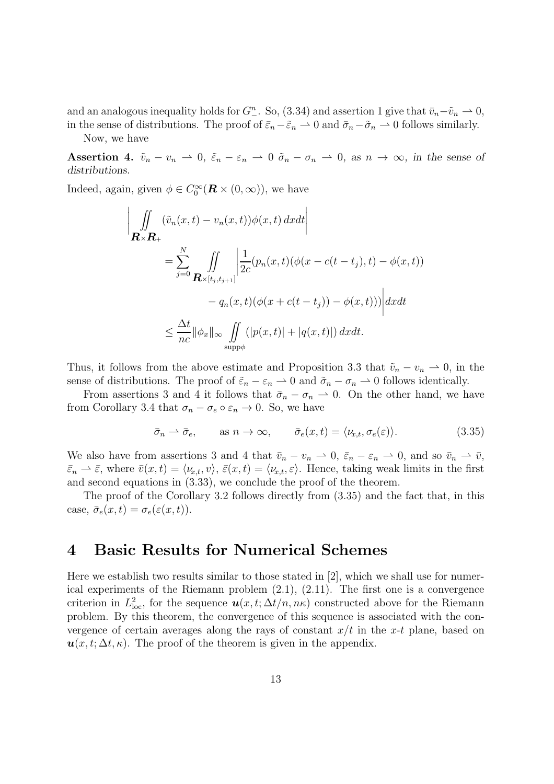and an analogous inequality holds for  $G_{-}^{n}$ . So, (3.34) and assertion 1 give that  $\bar{v}_n - \tilde{v}_n \rightharpoonup 0$ , in the sense of distributions. The proof of  $\bar{\varepsilon}_n-\tilde{\varepsilon}_n \rightharpoonup 0$  and  $\bar{\sigma}_n-\tilde{\sigma}_n \rightharpoonup 0$  follows similarly.

Now, we have

Assertion 4.  $\tilde{v}_n - v_n \rightharpoonup 0$ ,  $\tilde{\varepsilon}_n - \varepsilon_n \rightharpoonup 0$   $\tilde{\sigma}_n - \sigma_n \rightharpoonup 0$ , as  $n \to \infty$ , in the sense of *distributions.*

Indeed, again, given  $\phi \in C_0^{\infty}$  $\int_0^\infty (\mathbf{R} \times (0, \infty))$ , we have

$$
\left| \iint\limits_{\mathbf{R}\times\mathbf{R}_{+}} (\tilde{v}_{n}(x,t) - v_{n}(x,t))\phi(x,t) dxdt \right|
$$
\n
$$
= \sum_{j=0}^{N} \iint\limits_{\mathbf{R}\times[t_{j},t_{j+1}]} \left| \frac{1}{2c}(p_{n}(x,t)(\phi(x-c(t-t_{j}),t) - \phi(x,t)) - q_{n}(x,t)(\phi(x+c(t-t_{j})) - \phi(x,t)) \right| dxdt
$$
\n
$$
\leq \frac{\Delta t}{nc} \|\phi_{x}\|_{\infty} \iint\limits_{\text{supp}\phi} (|p(x,t)| + |q(x,t)|) dxdt.
$$

Thus, it follows from the above estimate and Proposition 3.3 that  $\tilde{v}_n - v_n \rightharpoonup 0$ , in the sense of distributions. The proof of  $\tilde{\varepsilon}_n - \varepsilon_n \rightharpoonup 0$  and  $\tilde{\sigma}_n - \sigma_n \rightharpoonup 0$  follows identically.

From assertions 3 and 4 it follows that  $\bar{\sigma}_n - \sigma_n \rightharpoonup 0$ . On the other hand, we have from Corollary 3.4 that  $\sigma_n - \sigma_e \circ \varepsilon_n \to 0$ . So, we have

$$
\bar{\sigma}_n \rightharpoonup \bar{\sigma}_e, \qquad \text{as } n \to \infty, \qquad \bar{\sigma}_e(x,t) = \langle \nu_{x,t}, \sigma_e(\varepsilon) \rangle. \tag{3.35}
$$

We also have from assertions 3 and 4 that  $\bar{v}_n - v_n \rightharpoonup 0$ ,  $\bar{\varepsilon}_n - \varepsilon_n \rightharpoonup 0$ , and so  $\bar{v}_n \rightharpoonup \bar{v}$ ,  $\bar{\varepsilon}_n \rightharpoonup \bar{\varepsilon}$ , where  $\bar{v}(x, t) = \langle \nu_{x,t}, v \rangle$ ,  $\bar{\varepsilon}(x, t) = \langle \nu_{x,t}, \varepsilon \rangle$ . Hence, taking weak limits in the first and second equations in (3.33), we conclude the proof of the theorem.

The proof of the Corollary 3.2 follows directly from (3.35) and the fact that, in this case,  $\bar{\sigma}_e(x,t) = \sigma_e(\varepsilon(x,t)).$ 

## 4 Basic Results for Numerical Schemes

Here we establish two results similar to those stated in [2], which we shall use for numerical experiments of the Riemann problem (2.1), (2.11). The first one is a convergence criterion in  $L^2_{loc}$ , for the sequence  $u(x,t;\Delta t/n,n\kappa)$  constructed above for the Riemann problem. By this theorem, the convergence of this sequence is associated with the convergence of certain averages along the rays of constant  $x/t$  in the x-t plane, based on  $u(x, t; \Delta t, \kappa)$ . The proof of the theorem is given in the appendix.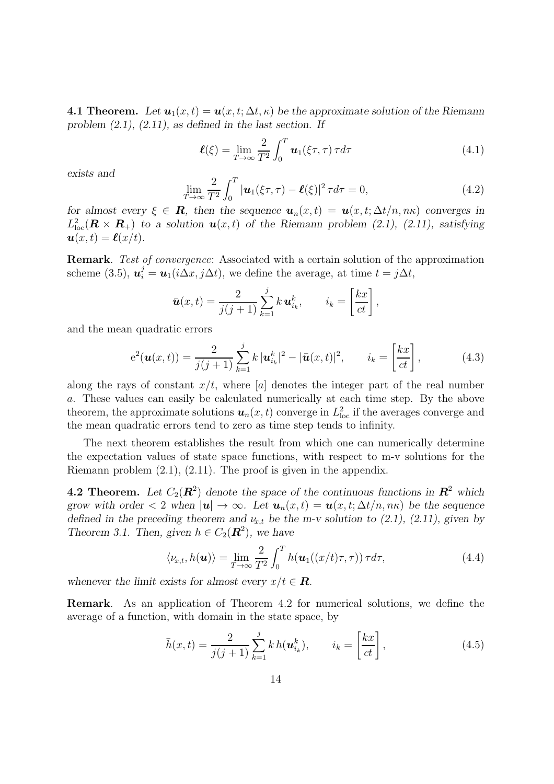**4.1 Theorem.** Let  $u_1(x,t) = u(x,t; \Delta t, \kappa)$  be the approximate solution of the Riemann *problem (2.1), (2.11), as defined in the last section. If*

$$
\boldsymbol{\ell}(\xi) = \lim_{T \to \infty} \frac{2}{T^2} \int_0^T \boldsymbol{u}_1(\xi \tau, \tau) \, \tau d\tau \tag{4.1}
$$

*exists and*

$$
\lim_{T \to \infty} \frac{2}{T^2} \int_0^T |\boldsymbol{u}_1(\xi \tau, \tau) - \boldsymbol{\ell}(\xi)|^2 \tau d\tau = 0,
$$
\n(4.2)

*for almost every*  $\xi \in \mathbf{R}$ , then the sequence  $u_n(x,t) = u(x,t; \Delta t/n, n\kappa)$  converges in  $L^2_{loc}(\mathbf{R} \times \mathbf{R}_+)$  to a solution  $\mathbf{u}(x,t)$  of the Riemann problem (2.1), (2.11), satisfying  $u(x, t) = \ell(x/t)$ .

Remark. Test of convergence: Associated with a certain solution of the approximation scheme (3.5),  $u_i^j = u_1(i\Delta x, j\Delta t)$ , we define the average, at time  $t = j\Delta t$ ,

$$
\bar{u}(x,t) = \frac{2}{j(j+1)} \sum_{k=1}^{j} k \, u_{i_k}^k, \qquad i_k = \left[\frac{kx}{ct}\right],
$$

and the mean quadratic errors

$$
e^{2}(\boldsymbol{u}(x,t)) = \frac{2}{j(j+1)}\sum_{k=1}^{j}k|\boldsymbol{u}_{i_{k}}^{k}|^{2} - |\bar{\boldsymbol{u}}(x,t)|^{2}, \qquad i_{k} = \left[\frac{kx}{ct}\right],
$$
 (4.3)

along the rays of constant  $x/t$ , where [a] denotes the integer part of the real number a. These values can easily be calculated numerically at each time step. By the above theorem, the approximate solutions  $u_n(x,t)$  converge in  $L^2_{loc}$  if the averages converge and the mean quadratic errors tend to zero as time step tends to infinity.

The next theorem establishes the result from which one can numerically determine the expectation values of state space functions, with respect to m-v solutions for the Riemann problem (2.1), (2.11). The proof is given in the appendix.

**4.2 Theorem.** Let  $C_2(\mathbb{R}^2)$  denote the space of the continuous functions in  $\mathbb{R}^2$  which *grow with order* < 2 *when*  $|\mathbf{u}| \to \infty$ *. Let*  $\mathbf{u}_n(x,t) = \mathbf{u}(x,t;\Delta t/n,n\kappa)$  *be the sequence defined in the preceding theorem and*  $\nu_{x,t}$  *be the m-v solution to (2.1), (2.11), given by Theorem 3.1. Then, given*  $h \in C_2(\mathbb{R}^2)$ , we have

$$
\langle \nu_{x,t}, h(\boldsymbol{u}) \rangle = \lim_{T \to \infty} \frac{2}{T^2} \int_0^T h(\boldsymbol{u}_1((x/t)\tau, \tau)) \tau d\tau,
$$
\n(4.4)

*whenever the limit exists for almost every*  $x/t \in \mathbb{R}$ .

Remark. As an application of Theorem 4.2 for numerical solutions, we define the average of a function, with domain in the state space, by

$$
\bar{h}(x,t) = \frac{2}{j(j+1)} \sum_{k=1}^{j} k h(\boldsymbol{u}_{i_k}^k), \qquad i_k = \left[\frac{kx}{ct}\right],
$$
\n(4.5)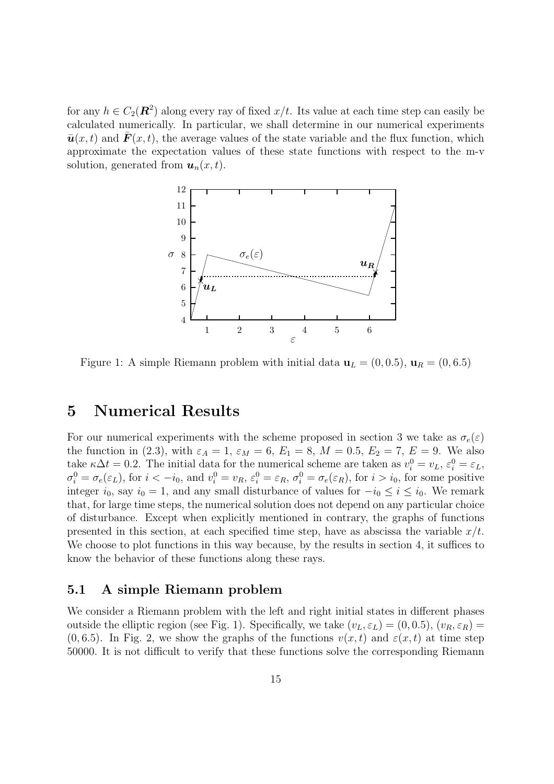for any  $h \in C_2(\mathbf{R}^2)$  along every ray of fixed  $x/t$ . Its value at each time step can easily be calculated numerically. In particular, we shall determine in our numerical experiments  $\bar{\mathbf{u}}(x, t)$  and  $\mathbf{F}(x, t)$ , the average values of the state variable and the flux function, which approximate the expectation values of these state functions with respect to the m-v solution, generated from  $u_n(x,t)$ .



Figure 1: A simple Riemann problem with initial data  $\mathbf{u}_L = (0, 0.5), \mathbf{u}_R = (0, 6.5)$ 

## 5 Numerical Results

For our numerical experiments with the scheme proposed in section 3 we take as  $\sigma_e(\varepsilon)$ the function in (2.3), with  $\varepsilon_A = 1$ ,  $\varepsilon_M = 6$ ,  $E_1 = 8$ ,  $M = 0.5$ ,  $E_2 = 7$ ,  $E = 9$ . We also take  $\kappa \Delta t = 0.2$ . The initial data for the numerical scheme are taken as  $v_i^0 = v_L$ ,  $\varepsilon_i^0 = \varepsilon_L$ ,  $\sigma_i^0 = \sigma_e(\varepsilon_L)$ , for  $i < -i_0$ , and  $v_i^0 = v_R$ ,  $\varepsilon_i^0 = \varepsilon_R$ ,  $\sigma_i^0 = \sigma_e(\varepsilon_R)$ , for  $i > i_0$ , for some positive integer  $i_0$ , say  $i_0 = 1$ , and any small disturbance of values for  $-i_0 \le i \le i_0$ . We remark that, for large time steps, the numerical solution does not depend on any particular choice of disturbance. Except when explicitly mentioned in contrary, the graphs of functions presented in this section, at each specified time step, have as abscissa the variable  $x/t$ . We choose to plot functions in this way because, by the results in section 4, it suffices to know the behavior of these functions along these rays.

#### 5.1 A simple Riemann problem

We consider a Riemann problem with the left and right initial states in different phases outside the elliptic region (see Fig. 1). Specifically, we take  $(v_L, \varepsilon_L) = (0, 0.5), (v_R, \varepsilon_R) =$  $(0, 6.5)$ . In Fig. 2, we show the graphs of the functions  $v(x, t)$  and  $\varepsilon(x, t)$  at time step 50000. It is not difficult to verify that these functions solve the corresponding Riemann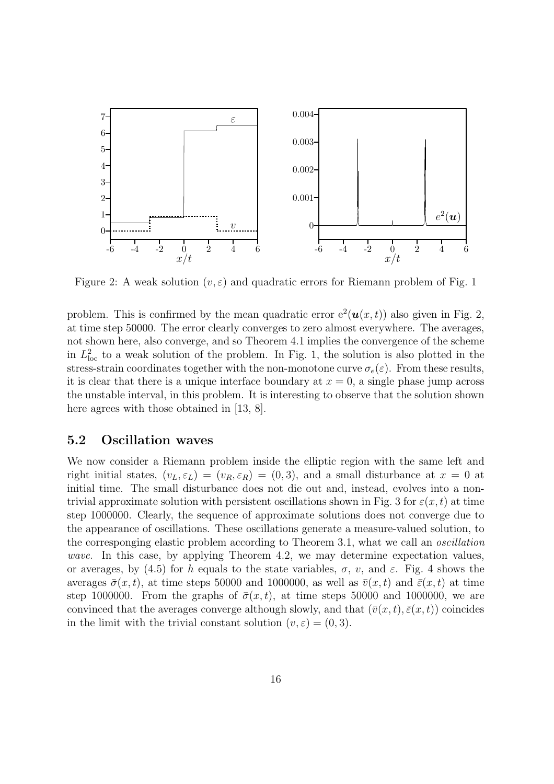

Figure 2: A weak solution  $(v, \varepsilon)$  and quadratic errors for Riemann problem of Fig. 1

problem. This is confirmed by the mean quadratic error  $e^2(\boldsymbol{u}(x,t))$  also given in Fig. 2, at time step 50000. The error clearly converges to zero almost everywhere. The averages, not shown here, also converge, and so Theorem 4.1 implies the convergence of the scheme in  $L^2_{\text{loc}}$  to a weak solution of the problem. In Fig. 1, the solution is also plotted in the stress-strain coordinates together with the non-monotone curve  $\sigma_e(\varepsilon)$ . From these results, it is clear that there is a unique interface boundary at  $x = 0$ , a single phase jump across the unstable interval, in this problem. It is interesting to observe that the solution shown here agrees with those obtained in [13, 8].

#### 5.2 Oscillation waves

We now consider a Riemann problem inside the elliptic region with the same left and right initial states,  $(v_L, \varepsilon_L) = (v_R, \varepsilon_R) = (0, 3)$ , and a small disturbance at  $x = 0$  at initial time. The small disturbance does not die out and, instead, evolves into a nontrivial approximate solution with persistent oscillations shown in Fig. 3 for  $\varepsilon(x, t)$  at time step 1000000. Clearly, the sequence of approximate solutions does not converge due to the appearance of oscillations. These oscillations generate a measure-valued solution, to the corresponging elastic problem according to Theorem 3.1, what we call an oscillation wave. In this case, by applying Theorem 4.2, we may determine expectation values, or averages, by (4.5) for h equals to the state variables,  $\sigma$ , v, and  $\varepsilon$ . Fig. 4 shows the averages  $\bar{\sigma}(x, t)$ , at time steps 50000 and 1000000, as well as  $\bar{v}(x, t)$  and  $\bar{\varepsilon}(x, t)$  at time step 1000000. From the graphs of  $\bar{\sigma}(x, t)$ , at time steps 50000 and 1000000, we are convinced that the averages converge although slowly, and that  $(\bar{v}(x, t), \bar{\varepsilon}(x, t))$  coincides in the limit with the trivial constant solution  $(v, \varepsilon) = (0, 3)$ .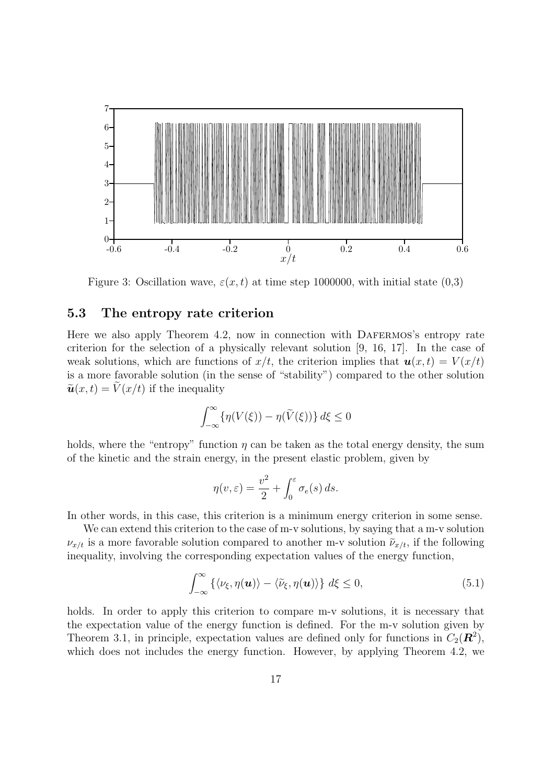

Figure 3: Oscillation wave,  $\varepsilon(x, t)$  at time step 1000000, with initial state (0,3)

#### 5.3 The entropy rate criterion

Here we also apply Theorem 4.2, now in connection with DAFERMOS's entropy rate criterion for the selection of a physically relevant solution [9, 16, 17]. In the case of weak solutions, which are functions of  $x/t$ , the criterion implies that  $u(x, t) = V(x/t)$ is a more favorable solution (in the sense of "stability") compared to the other solution  $\tilde{\boldsymbol{u}}(x, t) = \tilde{V}(x/t)$  if the inequality

$$
\int_{-\infty}^{\infty} \{ \eta(V(\xi)) - \eta(\widetilde{V}(\xi)) \} d\xi \le 0
$$

holds, where the "entropy" function  $\eta$  can be taken as the total energy density, the sum of the kinetic and the strain energy, in the present elastic problem, given by

$$
\eta(v,\varepsilon) = \frac{v^2}{2} + \int_0^{\varepsilon} \sigma_e(s) \, ds.
$$

In other words, in this case, this criterion is a minimum energy criterion in some sense.

We can extend this criterion to the case of m-v solutions, by saying that a m-v solution  $\nu_{x/t}$  is a more favorable solution compared to another m-v solution  $\tilde{\nu}_{x/t}$ , if the following inequality, involving the corresponding expectation values of the energy function,

$$
\int_{-\infty}^{\infty} \left\{ \langle \nu_{\xi}, \eta(\boldsymbol{u}) \rangle - \langle \tilde{\nu}_{\xi}, \eta(\boldsymbol{u}) \rangle \right\} d\xi \le 0, \tag{5.1}
$$

holds. In order to apply this criterion to compare m-v solutions, it is necessary that the expectation value of the energy function is defined. For the m-v solution given by Theorem 3.1, in principle, expectation values are defined only for functions in  $C_2(\mathbf{R}^2)$ , which does not includes the energy function. However, by applying Theorem 4.2, we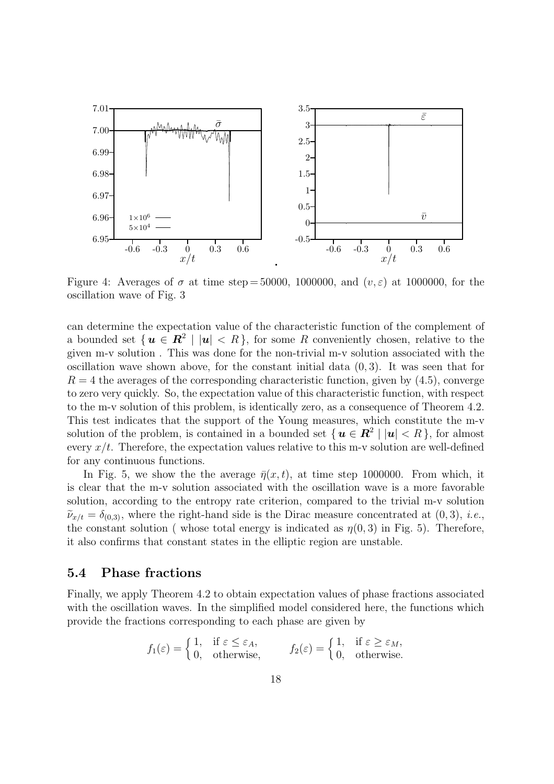

Figure 4: Averages of  $\sigma$  at time step = 50000, 1000000, and  $(v,\varepsilon)$  at 1000000, for the oscillation wave of Fig. 3

can determine the expectation value of the characteristic function of the complement of a bounded set  $\{u \in \mathbb{R}^2 \mid |u| < R\}$ , for some R conveniently chosen, relative to the given m-v solution . This was done for the non-trivial m-v solution associated with the oscillation wave shown above, for the constant initial data  $(0, 3)$ . It was seen that for  $R = 4$  the averages of the corresponding characteristic function, given by  $(4.5)$ , converge to zero very quickly. So, the expectation value of this characteristic function, with respect to the m-v solution of this problem, is identically zero, as a consequence of Theorem 4.2. This test indicates that the support of the Young measures, which constitute the m-v solution of the problem, is contained in a bounded set  $\{u \in \mathbb{R}^2 \mid |u| < R\}$ , for almost every  $x/t$ . Therefore, the expectation values relative to this m-v solution are well-defined for any continuous functions.

In Fig. 5, we show the the average  $\bar{\eta}(x, t)$ , at time step 1000000. From which, it is clear that the m-v solution associated with the oscillation wave is a more favorable solution, according to the entropy rate criterion, compared to the trivial m-v solution  $\tilde{\nu}_{x/t} = \delta_{(0,3)}$ , where the right-hand side is the Dirac measure concentrated at  $(0,3)$ , *i.e.*, the constant solution ( whose total energy is indicated as  $\eta(0,3)$  in Fig. 5). Therefore, it also confirms that constant states in the elliptic region are unstable.

#### 5.4 Phase fractions

Finally, we apply Theorem 4.2 to obtain expectation values of phase fractions associated with the oscillation waves. In the simplified model considered here, the functions which provide the fractions corresponding to each phase are given by

$$
f_1(\varepsilon) = \begin{cases} 1, & \text{if } \varepsilon \le \varepsilon_A, \\ 0, & \text{otherwise,} \end{cases} \qquad f_2(\varepsilon) = \begin{cases} 1, & \text{if } \varepsilon \ge \varepsilon_M, \\ 0, & \text{otherwise.} \end{cases}
$$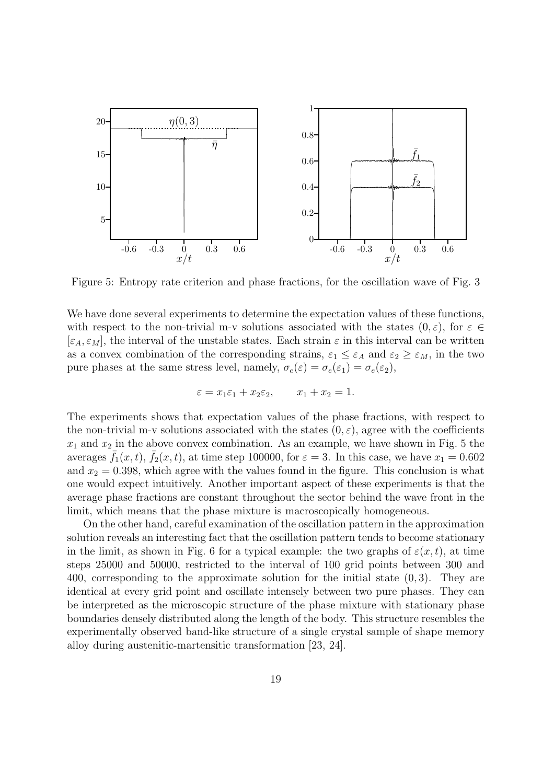

Figure 5: Entropy rate criterion and phase fractions, for the oscillation wave of Fig. 3

We have done several experiments to determine the expectation values of these functions, with respect to the non-trivial m-v solutions associated with the states  $(0, \varepsilon)$ , for  $\varepsilon \in \mathbb{C}$  $[\varepsilon_A, \varepsilon_M]$ , the interval of the unstable states. Each strain  $\varepsilon$  in this interval can be written as a convex combination of the corresponding strains,  $\varepsilon_1 \leq \varepsilon_A$  and  $\varepsilon_2 \geq \varepsilon_M$ , in the two pure phases at the same stress level, namely,  $\sigma_e(\varepsilon) = \sigma_e(\varepsilon_1) = \sigma_e(\varepsilon_2)$ ,

$$
\varepsilon = x_1 \varepsilon_1 + x_2 \varepsilon_2, \qquad x_1 + x_2 = 1.
$$

The experiments shows that expectation values of the phase fractions, with respect to the non-trivial m-v solutions associated with the states  $(0, \varepsilon)$ , agree with the coefficients  $x_1$  and  $x_2$  in the above convex combination. As an example, we have shown in Fig. 5 the averages  $f_1(x, t)$ ,  $f_2(x, t)$ , at time step 100000, for  $\varepsilon = 3$ . In this case, we have  $x_1 = 0.602$ and  $x_2 = 0.398$ , which agree with the values found in the figure. This conclusion is what one would expect intuitively. Another important aspect of these experiments is that the average phase fractions are constant throughout the sector behind the wave front in the limit, which means that the phase mixture is macroscopically homogeneous.

On the other hand, careful examination of the oscillation pattern in the approximation solution reveals an interesting fact that the oscillation pattern tends to become stationary in the limit, as shown in Fig. 6 for a typical example: the two graphs of  $\varepsilon(x, t)$ , at time steps 25000 and 50000, restricted to the interval of 100 grid points between 300 and 400, corresponding to the approximate solution for the initial state (0, 3). They are identical at every grid point and oscillate intensely between two pure phases. They can be interpreted as the microscopic structure of the phase mixture with stationary phase boundaries densely distributed along the length of the body. This structure resembles the experimentally observed band-like structure of a single crystal sample of shape memory alloy during austenitic-martensitic transformation [23, 24].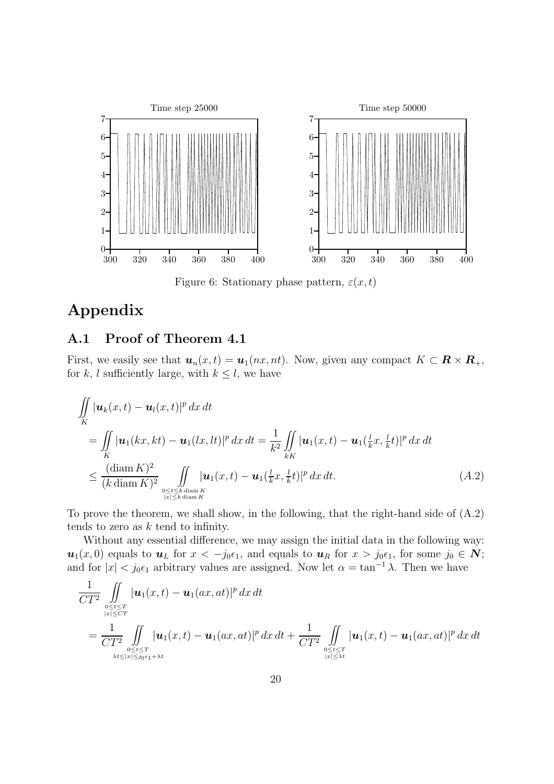

Figure 6: Stationary phase pattern,  $\varepsilon(x,t)$ 

# Appendix

#### A.1 Proof of Theorem 4.1

First, we easily see that  $u_n(x,t) = u_1(nx, nt)$ . Now, given any compact  $K \subset \mathbb{R} \times \mathbb{R}_+$ , for k, l sufficiently large, with  $k \leq l$ , we have

$$
\iint_{K} |\mathbf{u}_{k}(x,t) - \mathbf{u}_{l}(x,t)|^{p} dx dt
$$
\n
$$
= \iint_{K} |\mathbf{u}_{1}(kx,kt) - \mathbf{u}_{1}(lx,lt)|^{p} dx dt = \frac{1}{k^{2}} \iint_{kK} |\mathbf{u}_{1}(x,t) - \mathbf{u}_{1}(\frac{l}{k}x, \frac{l}{k}t)|^{p} dx dt
$$
\n
$$
\leq \frac{(\text{diam } K)^{2}}{(k \text{diam } K)^{2}} \iint_{\substack{0 \leq t \leq k \text{ diam } K \\ |x| \leq k \text{ diam } K}} |\mathbf{u}_{1}(x,t) - \mathbf{u}_{1}(\frac{l}{k}x, \frac{l}{k}t)|^{p} dx dt.
$$
\n(A.2)

To prove the theorem, we shall show, in the following, that the right-hand side of (A.2) tends to zero as  $k$  tend to infinity.

Without any essential difference, we may assign the initial data in the following way:  $u_1(x, 0)$  equals to  $u_L$  for  $x < -j_0 \epsilon_1$ , and equals to  $u_R$  for  $x > j_0 \epsilon_1$ , for some  $j_0 \in \mathbb{N}$ ; and for  $|x| < j_0 \epsilon_1$  arbitrary values are assigned. Now let  $\alpha = \tan^{-1} \lambda$ . Then we have

$$
\frac{1}{CT^2} \iint_{\substack{0 \le t \le T \\ |x| \le CT}} |\mathbf{u}_1(x,t) - \mathbf{u}_1(ax,at)|^p dx dt
$$
\n
$$
= \frac{1}{CT^2} \iint_{\substack{0 \le t \le T \\ \lambda t \le |x| \le j_0 \epsilon_1 + \lambda t}} |\mathbf{u}_1(x,t) - \mathbf{u}_1(ax,at)|^p dx dt + \frac{1}{CT^2} \iint_{\substack{0 \le t \le T \\ |x| \le \lambda t}} |\mathbf{u}_1(x,t) - \mathbf{u}_1(ax,at)|^p dx dt
$$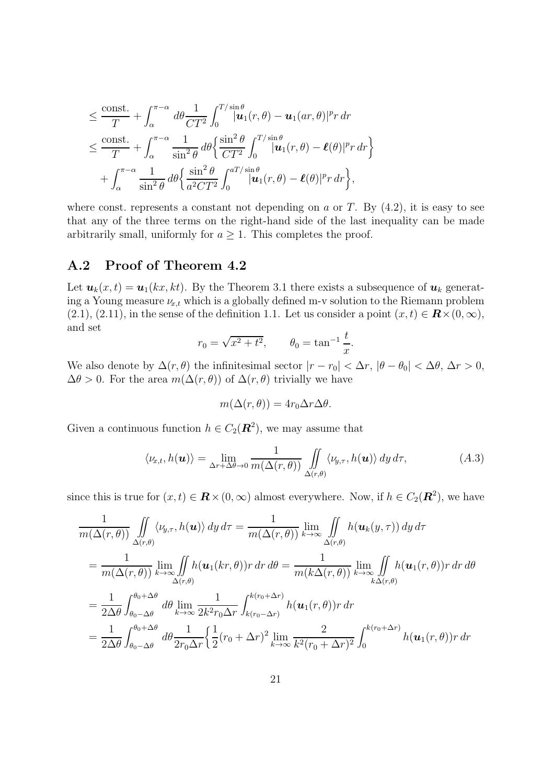$$
\leq \frac{\text{const.}}{T} + \int_{\alpha}^{\pi-\alpha} d\theta \frac{1}{CT^2} \int_{0}^{T/\sin\theta} |\mathbf{u}_1(r,\theta) - \mathbf{u}_1(ar,\theta)|^p r dr \n\leq \frac{\text{const.}}{T} + \int_{\alpha}^{\pi-\alpha} \frac{1}{\sin^2\theta} d\theta \left\{ \frac{\sin^2\theta}{CT^2} \int_{0}^{T/\sin\theta} |\mathbf{u}_1(r,\theta) - \ell(\theta)|^p r dr \right\} \n+ \int_{\alpha}^{\pi-\alpha} \frac{1}{\sin^2\theta} d\theta \left\{ \frac{\sin^2\theta}{a^2CT^2} \int_{0}^{aT/\sin\theta} |\mathbf{u}_1(r,\theta) - \ell(\theta)|^p r dr \right\},
$$

where const. represents a constant not depending on  $a$  or  $T$ . By  $(4.2)$ , it is easy to see that any of the three terms on the right-hand side of the last inequality can be made arbitrarily small, uniformly for  $a \geq 1$ . This completes the proof.

#### A.2 Proof of Theorem 4.2

Let  $u_k(x, t) = u_1(kx, kt)$ . By the Theorem 3.1 there exists a subsequence of  $u_k$  generating a Young measure  $\nu_{x,t}$  which is a globally defined m-v solution to the Riemann problem (2.1), (2.11), in the sense of the definition 1.1. Let us consider a point  $(x, t) \in \mathbf{R} \times (0, \infty)$ , and set

$$
r_0 = \sqrt{x^2 + t^2}
$$
,  $\theta_0 = \tan^{-1} \frac{t}{x}$ .

We also denote by  $\Delta(r, \theta)$  the infinitesimal sector  $|r - r_0| < \Delta r$ ,  $|\theta - \theta_0| < \Delta \theta$ ,  $\Delta r > 0$ ,  $\Delta\theta > 0$ . For the area  $m(\Delta(r, \theta))$  of  $\Delta(r, \theta)$  trivially we have

$$
m(\Delta(r,\theta)) = 4r_0 \Delta r \Delta \theta.
$$

Given a continuous function  $h \in C_2(\mathbf{R}^2)$ , we may assume that

$$
\langle \nu_{x,t}, h(\boldsymbol{u}) \rangle = \lim_{\Delta r + \Delta \theta \to 0} \frac{1}{m(\Delta(r,\theta))} \iint_{\Delta(r,\theta)} \langle \nu_{y,\tau}, h(\boldsymbol{u}) \rangle \, dy \, d\tau, \tag{A.3}
$$

since this is true for  $(x, t) \in \mathbf{R} \times (0, \infty)$  almost everywhere. Now, if  $h \in C_2(\mathbf{R}^2)$ , we have

$$
\frac{1}{m(\Delta(r,\theta))} \iint_{\Delta(r,\theta)} \langle \nu_{y,\tau}, h(\mathbf{u}) \rangle \, dy \, d\tau = \frac{1}{m(\Delta(r,\theta))} \lim_{k \to \infty} \iint_{\Delta(r,\theta)} h(\mathbf{u}_k(y,\tau)) \, dy \, d\tau
$$
\n
$$
= \frac{1}{m(\Delta(r,\theta))} \lim_{k \to \infty} \iint_{\Delta(r,\theta)} h(\mathbf{u}_1(kr,\theta)) r \, dr \, d\theta = \frac{1}{m(k\Delta(r,\theta))} \lim_{k \to \infty} \iint_{k\Delta(r,\theta)} h(\mathbf{u}_1(r,\theta)) r \, dr \, d\theta
$$
\n
$$
= \frac{1}{2\Delta\theta} \int_{\theta_0 - \Delta\theta}^{\theta_0 + \Delta\theta} d\theta \lim_{k \to \infty} \frac{1}{2k^2 r_0 \Delta r} \int_{k(r_0 - \Delta r)}^{k(r_0 + \Delta r)} h(\mathbf{u}_1(r,\theta)) r \, dr
$$
\n
$$
= \frac{1}{2\Delta\theta} \int_{\theta_0 - \Delta\theta}^{\theta_0 + \Delta\theta} d\theta \frac{1}{2r_0 \Delta r} \left\{ \frac{1}{2} (r_0 + \Delta r)^2 \lim_{k \to \infty} \frac{2}{k^2 (r_0 + \Delta r)^2} \int_0^{k(r_0 + \Delta r)} h(\mathbf{u}_1(r,\theta)) r \, dr \right\}
$$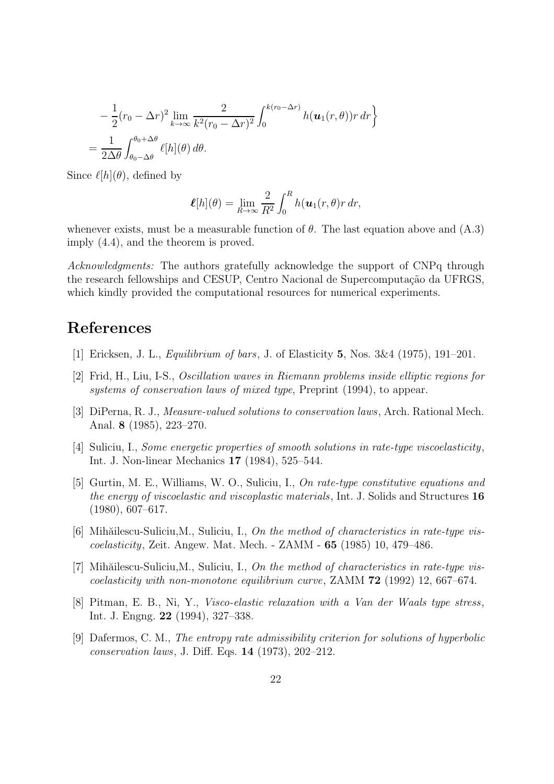$$
-\frac{1}{2}(r_0 - \Delta r)^2 \lim_{k \to \infty} \frac{2}{k^2(r_0 - \Delta r)^2} \int_0^{k(r_0 - \Delta r)} h(\mathbf{u}_1(r, \theta)) r \, dr
$$
  
= 
$$
\frac{1}{2\Delta\theta} \int_{\theta_0 - \Delta\theta}^{\theta_0 + \Delta\theta} \ell[h](\theta) \, d\theta.
$$

Since  $\ell[h](\theta)$ , defined by

$$
\boldsymbol{\ell}[h](\theta) = \lim_{R \to \infty} \frac{2}{R^2} \int_0^R h(\boldsymbol{u}_1(r,\theta)r) dr,
$$

whenever exists, must be a measurable function of  $\theta$ . The last equation above and (A.3) imply (4.4), and the theorem is proved.

Acknowledgments: The authors gratefully acknowledge the support of CNPq through the research fellowships and CESUP, Centro Nacional de Supercomputação da UFRGS, which kindly provided the computational resources for numerical experiments.

# References

- [1] Ericksen, J. L., Equilibrium of bars, J. of Elasticity 5, Nos. 3&4 (1975), 191–201.
- [2] Frid, H., Liu, I-S., Oscillation waves in Riemann problems inside elliptic regions for systems of conservation laws of mixed type, Preprint (1994), to appear.
- [3] DiPerna, R. J., Measure-valued solutions to conservation laws, Arch. Rational Mech. Anal. 8 (1985), 223–270.
- [4] Suliciu, I., Some energetic properties of smooth solutions in rate-type viscoelasticity, Int. J. Non-linear Mechanics 17 (1984), 525–544.
- [5] Gurtin, M. E., Williams, W. O., Suliciu, I., On rate-type constitutive equations and the energy of viscoelastic and viscoplastic materials, Int. J. Solids and Structures 16 (1980), 607–617.
- [6] Mihăilescu-Suliciu, M., Suliciu, I., On the method of characteristics in rate-type viscoelasticity, Zeit. Angew. Mat. Mech. - ZAMM - 65 (1985) 10, 479–486.
- [7] Mihăilescu-Suliciu, M., Suliciu, I., On the method of characteristics in rate-type vis*coelasticity with non-monotone equilibrium curve,* ZAMM  $72$  (1992) 12, 667–674.
- [8] Pitman, E. B., Ni, Y., Visco-elastic relaxation with a Van der Waals type stress, Int. J. Engng. 22 (1994), 327–338.
- [9] Dafermos, C. M., The entropy rate admissibility criterion for solutions of hyperbolic conservation laws, J. Diff. Eqs. 14 (1973), 202–212.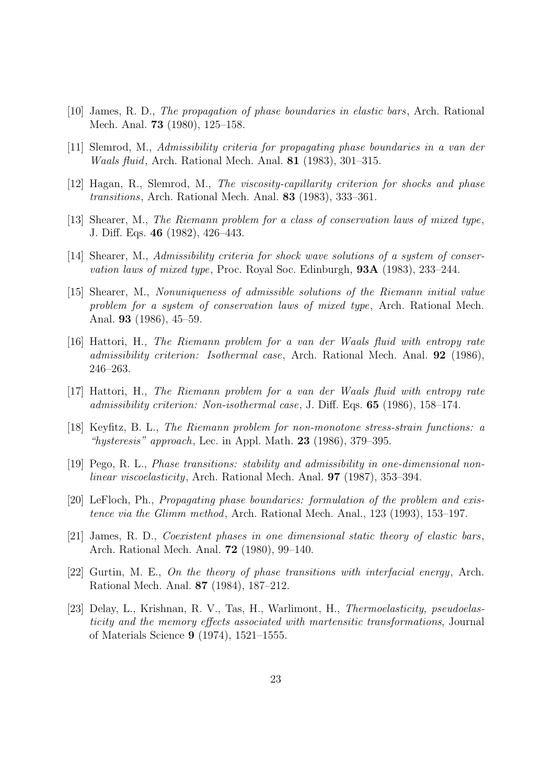- [10] James, R. D., The propagation of phase boundaries in elastic bars, Arch. Rational Mech. Anal. 73 (1980), 125–158.
- [11] Slemrod, M., Admissibility criteria for propagating phase boundaries in a van der Waals fluid, Arch. Rational Mech. Anal. 81 (1983), 301–315.
- [12] Hagan, R., Slemrod, M., The viscosity-capillarity criterion for shocks and phase transitions, Arch. Rational Mech. Anal. 83 (1983), 333–361.
- [13] Shearer, M., The Riemann problem for a class of conservation laws of mixed type, J. Diff. Eqs. 46 (1982), 426–443.
- [14] Shearer, M., Admissibility criteria for shock wave solutions of a system of conservation laws of mixed type, Proc. Royal Soc. Edinburgh, 93A (1983), 233–244.
- [15] Shearer, M., Nonuniqueness of admissible solutions of the Riemann initial value problem for a system of conservation laws of mixed type, Arch. Rational Mech. Anal. 93 (1986), 45–59.
- [16] Hattori, H., The Riemann problem for a van der Waals fluid with entropy rate admissibility criterion: Isothermal case, Arch. Rational Mech. Anal. 92 (1986), 246–263.
- [17] Hattori, H., The Riemann problem for a van der Waals fluid with entropy rate admissibility criterion: Non-isothermal case, J. Diff. Eqs. 65 (1986), 158–174.
- [18] Keyfitz, B. L., The Riemann problem for non-monotone stress-strain functions: a "hysteresis" approach, Lec. in Appl. Math.  $23$  (1986), 379–395.
- [19] Pego, R. L., Phase transitions: stability and admissibility in one-dimensional nonlinear viscoelasticity, Arch. Rational Mech. Anal. 97 (1987), 353–394.
- [20] LeFloch, Ph., Propagating phase boundaries: formulation of the problem and existence via the Glimm method, Arch. Rational Mech. Anal., 123 (1993), 153–197.
- [21] James, R. D., Coexistent phases in one dimensional static theory of elastic bars, Arch. Rational Mech. Anal. 72 (1980), 99–140.
- [22] Gurtin, M. E., On the theory of phase transitions with interfacial energy, Arch. Rational Mech. Anal. 87 (1984), 187–212.
- [23] Delay, L., Krishnan, R. V., Tas, H., Warlimont, H., Thermoelasticity, pseudoelasticity and the memory effects associated with martensitic transformations, Journal of Materials Science 9 (1974), 1521–1555.